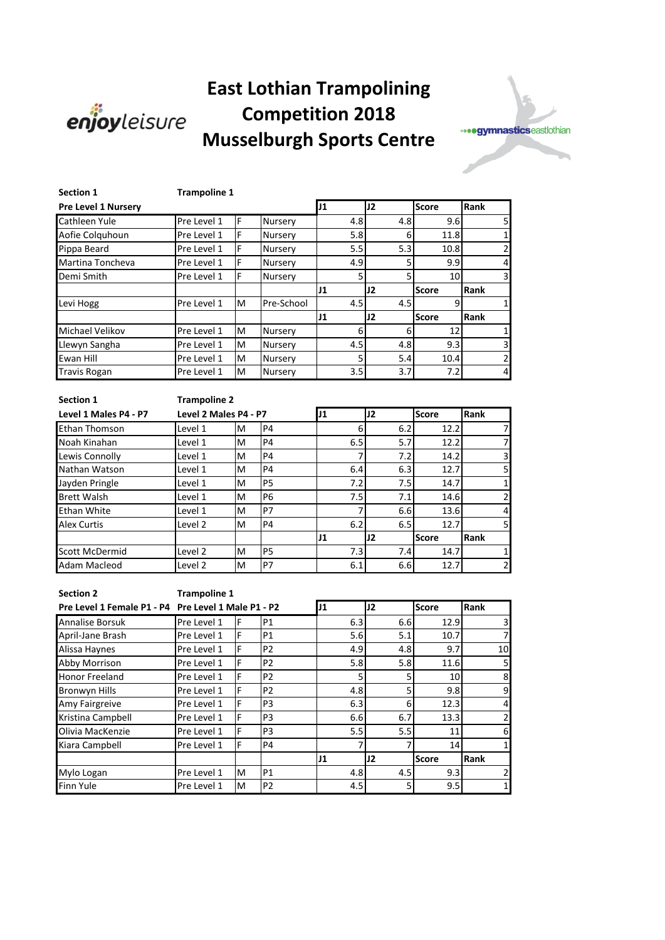

## **East Lothian Trampolining Competition 2018 Musselburgh Sports Centre**



| <b>Section 1</b>           | <b>Trampoline 1</b> |   |                |     |     |                 |                |  |  |
|----------------------------|---------------------|---|----------------|-----|-----|-----------------|----------------|--|--|
| <b>Pre Level 1 Nursery</b> |                     |   |                | IJ1 | J2  | <b>Score</b>    | Rank           |  |  |
| Cathleen Yule              | Pre Level 1         | F | Nursery        | 4.8 | 4.8 | 9.6             | 5              |  |  |
| Aofie Colquhoun            | Pre Level 1         | F | <b>Nursery</b> | 5.8 | 6   | 11.8            | $\mathbf{1}$   |  |  |
| Pippa Beard                | Pre Level 1         | F | Nursery        | 5.5 | 5.3 | 10.8            | $\overline{2}$ |  |  |
| Martina Toncheva           | Pre Level 1         | F | Nursery        | 4.9 | 5   | 9.9             | $\overline{4}$ |  |  |
| Demi Smith                 | Pre Level 1         | F | Nursery        | 5   | 5   | 10 <sup>1</sup> | 3              |  |  |
|                            |                     |   |                | 11  | J2  | <b>Score</b>    | Rank           |  |  |
| Levi Hogg                  | Pre Level 1         | M | Pre-School     | 4.5 | 4.5 | 9               | 1              |  |  |
|                            |                     |   |                | J1  | J2  | <b>Score</b>    | Rank           |  |  |
| Michael Velikov            | Pre Level 1         | м | Nursery        | 6   | 6   | 12              | $\mathbf{1}$   |  |  |
| Llewyn Sangha              | Pre Level 1         | M | Nursery        | 4.5 | 4.8 | 9.3             | 3              |  |  |
| Ewan Hill                  | Pre Level 1         | м | Nursery        | 5   | 5.4 | 10.4            | $\overline{2}$ |  |  |
| <b>Travis Rogan</b>        | Pre Level 1         | м | Nursery        | 3.5 | 3.7 | 7.2             | $\overline{4}$ |  |  |

| <b>Section 1</b>      | <b>Trampoline 2</b>   |    |                |                |              |      |              |      |
|-----------------------|-----------------------|----|----------------|----------------|--------------|------|--------------|------|
| Level 1 Males P4 - P7 | Level 2 Males P4 - P7 | J1 |                | J <sub>2</sub> | <b>Score</b> | Rank |              |      |
| <b>Ethan Thomson</b>  | Level 1               | M  | P <sub>4</sub> |                | 6            | 6.2  | 12.2         |      |
| Noah Kinahan          | Level 1               | M  | P <sub>4</sub> |                | 6.5          | 5.7  | 12.2         |      |
| Lewis Connolly        | Level 1               | M  | <b>P4</b>      |                |              | 7.2  | 14.2         | 3    |
| Nathan Watson         | Level 1               | M  | <b>P4</b>      |                | 6.4          | 6.3  | 12.7         | 5    |
| Jayden Pringle        | Level 1               | M  | P <sub>5</sub> |                | 7.2          | 7.5  | 14.7         | 1    |
| <b>Brett Walsh</b>    | Level 1               | M  | P <sub>6</sub> |                | 7.5          | 7.1  | 14.6         | 2    |
| <b>Ethan White</b>    | Level 1               | M  | P7             |                |              | 6.6  | 13.6         | 4    |
| <b>Alex Curtis</b>    | Level <sub>2</sub>    | M  | P <sub>4</sub> |                | 6.2          | 6.5  | 12.7         | 5    |
|                       |                       |    |                | 11             |              | J2   | <b>Score</b> | Rank |
| <b>Scott McDermid</b> | Level <sub>2</sub>    | M  | <b>P5</b>      |                | 7.3          | 7.4  | 14.7         |      |
| Adam Macleod          | Level 2               | M  | P7             |                | 6.1          | 6.6  | 12.7         | 2    |

**Section 2 Trampoline 1** 

| Pre Level 1 Female P1 - P4 Pre Level 1 Male P1 - P2 |             |   |                | J1  | J2  | <b>Score</b> | Rank           |
|-----------------------------------------------------|-------------|---|----------------|-----|-----|--------------|----------------|
| <b>Annalise Borsuk</b>                              | Pre Level 1 | F | P <sub>1</sub> | 6.3 | 6.6 | 12.9         | 3              |
| April-Jane Brash                                    | Pre Level 1 | F | P <sub>1</sub> | 5.6 | 5.1 | 10.7         | $\overline{7}$ |
| Alissa Haynes                                       | Pre Level 1 | F | P <sub>2</sub> | 4.9 | 4.8 | 9.7          | 10             |
| Abby Morrison                                       | Pre Level 1 | F | P <sub>2</sub> | 5.8 | 5.8 | 11.6         | 5              |
| <b>Honor Freeland</b>                               | Pre Level 1 | F | P <sub>2</sub> |     | 5   | 10           | 8              |
| <b>Bronwyn Hills</b>                                | Pre Level 1 | F | P <sub>2</sub> | 4.8 | 5   | 9.8          | 9              |
| Amy Fairgreive                                      | Pre Level 1 | F | P <sub>3</sub> | 6.3 | 6   | 12.3         | $\overline{4}$ |
| Kristina Campbell                                   | Pre Level 1 | F | P <sub>3</sub> | 6.6 | 6.7 | 13.3         | $\overline{2}$ |
| Olivia MacKenzie                                    | Pre Level 1 | F | P <sub>3</sub> | 5.5 | 5.5 | 11           | 6              |
| Kiara Campbell                                      | Pre Level 1 | F | <b>P4</b>      |     |     | 14           | 1              |
|                                                     |             |   |                | 11  | J2  | <b>Score</b> | Rank           |
| Mylo Logan                                          | Pre Level 1 | M | P <sub>1</sub> | 4.8 | 4.5 | 9.3          | $\overline{2}$ |
| Finn Yule                                           | Pre Level 1 | M | P <sub>2</sub> | 4.5 | 5   | 9.5          | 1              |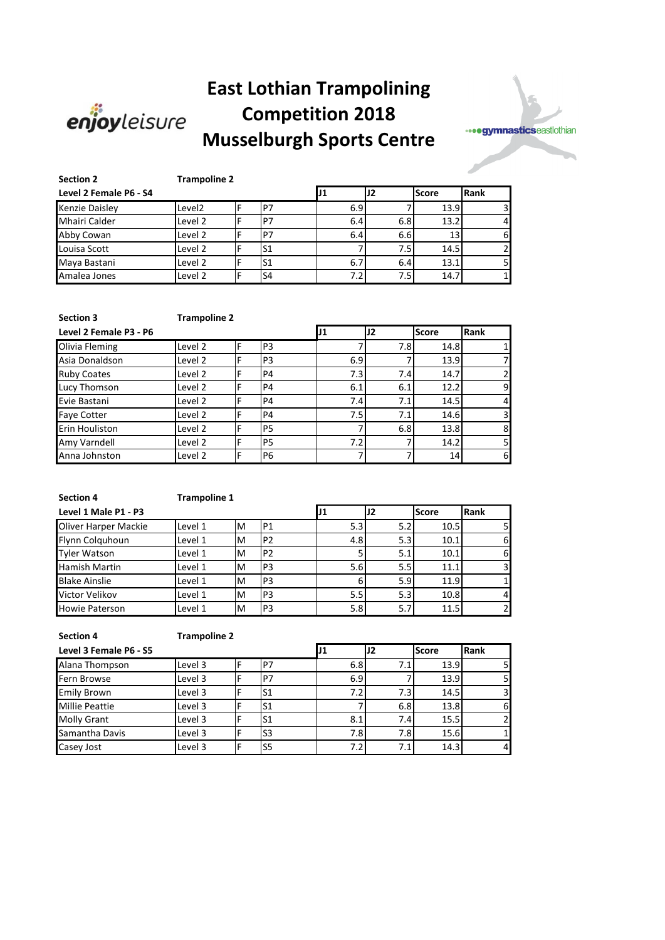

## **East Lothian Trampolining Competition 2018 Musselburgh Sports Centre**



| <b>Section 2</b>       | <b>Trampoline 2</b> |  |                |  |     |                |              |      |  |
|------------------------|---------------------|--|----------------|--|-----|----------------|--------------|------|--|
| Level 2 Female P6 - S4 |                     |  |                |  |     | J <sub>2</sub> | <b>Score</b> | Rank |  |
| <b>Kenzie Daisley</b>  | Level <sub>2</sub>  |  | P7             |  | 6.9 |                | 13.9         | 3    |  |
| <b>Mhairi Calder</b>   | Level 2             |  | P <sub>7</sub> |  | 6.4 | 6.8            | 13.2         | 4    |  |
| Abby Cowan             | Level 2             |  | P7             |  | 6.4 | 6.6            | 13           | 6    |  |
| Louisa Scott           | Level 2             |  | lS1            |  |     | 7.5            | 14.5         |      |  |
| Maya Bastani           | Level 2             |  | S <sub>1</sub> |  | 6.7 | 6.4            | 13.1         |      |  |
| Amalea Jones           | Level 2             |  | S <sub>4</sub> |  | 7.2 | 7.5            | 14.7         |      |  |

| <b>Section 3</b>       | <b>Trampoline 2</b> |   |                |     |     |              |      |  |
|------------------------|---------------------|---|----------------|-----|-----|--------------|------|--|
| Level 2 Female P3 - P6 |                     |   |                | IJ1 | 12  | <b>Score</b> | Rank |  |
| Olivia Fleming         | Level 2             | F | P <sub>3</sub> |     | 7.8 | 14.8         |      |  |
| Asia Donaldson         | Level 2             | F | P <sub>3</sub> | 6.9 |     | 13.9         |      |  |
| <b>Ruby Coates</b>     | Level 2             | F | P4             | 7.3 | 7.4 | 14.7         | 2    |  |
| Lucy Thomson           | Level 2             | F | P4             | 6.1 | 6.1 | 12.2         | 9    |  |
| Evie Bastani           | Level 2             | F | P4             | 7.4 | 7.1 | 14.5         | 4    |  |
| <b>Faye Cotter</b>     | Level 2             | F | P4             | 7.5 | 7.1 | 14.6         | 3    |  |
| Erin Houliston         | Level 2             | F | <b>P5</b>      |     | 6.8 | 13.8         | 8    |  |
| Amy Varndell           | Level 2             | F | P <sub>5</sub> | 7.2 |     | 14.2         | 5    |  |
| Anna Johnston          | Level 2             | F | P6             |     |     | 14           | 6    |  |

| <b>Section 4</b>      | <b>Trampoline 1</b> |   |                |                  |                  |              |      |
|-----------------------|---------------------|---|----------------|------------------|------------------|--------------|------|
| Level 1 Male P1 - P3  |                     |   |                |                  | J2               | <b>Score</b> | Rank |
| Oliver Harper Mackie  | Level 1             | M | P <sub>1</sub> | 5.3 <sub>l</sub> | 5.2              | 10.5         | 5    |
| Flynn Colguhoun       | Level 1             | M | P <sub>2</sub> | 4.8              | 5.3 <sub>l</sub> | 10.1         | 6    |
| <b>Tyler Watson</b>   | Level 1             | M | P <sub>2</sub> |                  | 5.1              | 10.1         | 6    |
| <b>Hamish Martin</b>  | Level 1             | M | P <sub>3</sub> | 5.6              | 5.5              | 11.1         | 3    |
| <b>Blake Ainslie</b>  | Level 1             | M | P <sub>3</sub> | 6                | 5.9              | 11.9         |      |
| Victor Velikov        | Level 1             | M | P <sub>3</sub> | 5.5              | 5.3              | 10.8         | 4    |
| <b>Howie Paterson</b> | Level 1             | M | P <sub>3</sub> | 5.8              | 5.7              | 11.5         | 2    |

| <b>Section 4</b>       | <b>Trampoline 2</b> |   |     |      |     |              |               |  |
|------------------------|---------------------|---|-----|------|-----|--------------|---------------|--|
| Level 3 Female P6 - S5 |                     |   |     | IJ1  | J2  | <b>Score</b> | <b>IRank</b>  |  |
| Alana Thompson         | Level 3             | F | P7  | 6.81 | 7.1 | 13.9         | 5             |  |
| Fern Browse            | Level 3             |   | P7  | 6.9  |     | 13.9         | 5             |  |
| <b>Emily Brown</b>     | Level 3             |   | lS1 | 7.2  | 7.3 | 14.5         | 3             |  |
| <b>Millie Peattie</b>  | Level 3             | F | lS1 |      | 6.8 | 13.8         | 6             |  |
| <b>Molly Grant</b>     | Level 3             | F | IS1 | 8.1  | 7.4 | 15.5         | $\mathcal{P}$ |  |
| Samantha Davis         | Level 3             |   | lS3 | 7.8  | 7.8 | 15.6         |               |  |
| Casey Jost             | Level 3             | F | lS5 | 7.2  | 7.1 | 14.3         | 4             |  |